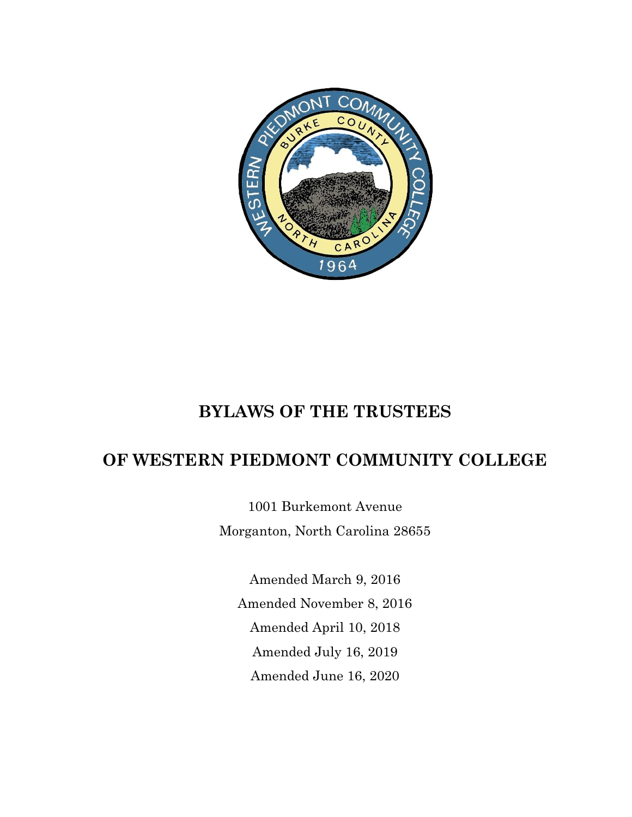

# **BYLAWS OF THE TRUSTEES**

# **OF WESTERN PIEDMONT COMMUNITY COLLEGE**

1001 Burkemont Avenue Morganton, North Carolina 28655

Amended March 9, 2016 Amended November 8, 2016 Amended April 10, 2018 Amended July 16, 2019 Amended June 16, 2020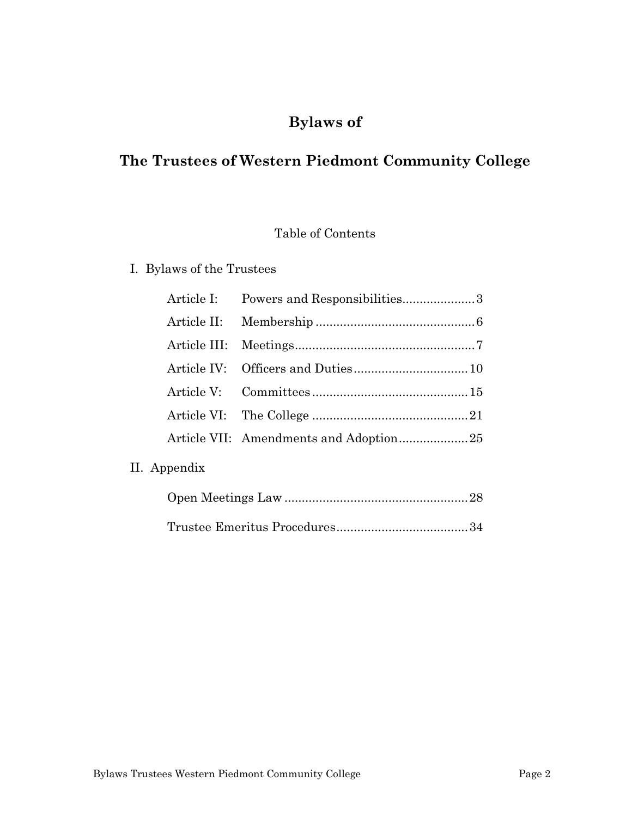# **Bylaws of**

# **The Trustees of Western Piedmont Community College**

#### Table of Contents

#### I. Bylaws of the Trustees

| Article I: Powers and Responsibilities3 |  |
|-----------------------------------------|--|
|                                         |  |
|                                         |  |
|                                         |  |
|                                         |  |
|                                         |  |
|                                         |  |

### II. Appendix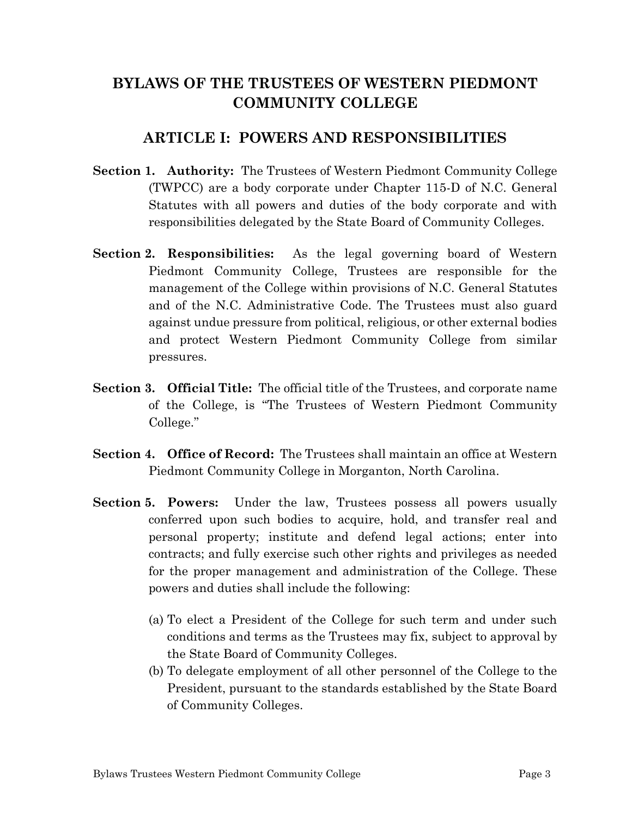# **BYLAWS OF THE TRUSTEES OF WESTERN PIEDMONT COMMUNITY COLLEGE**

#### **ARTICLE I: POWERS AND RESPONSIBILITIES**

- **Section 1. Authority:** The Trustees of Western Piedmont Community College (TWPCC) are a body corporate under Chapter 115-D of N.C. General Statutes with all powers and duties of the body corporate and with responsibilities delegated by the State Board of Community Colleges.
- **Section 2. Responsibilities:** As the legal governing board of Western Piedmont Community College, Trustees are responsible for the management of the College within provisions of N.C. General Statutes and of the N.C. Administrative Code. The Trustees must also guard against undue pressure from political, religious, or other external bodies and protect Western Piedmont Community College from similar pressures.
- **Section 3. Official Title:** The official title of the Trustees, and corporate name of the College, is "The Trustees of Western Piedmont Community College."
- **Section 4. Office of Record:** The Trustees shall maintain an office at Western Piedmont Community College in Morganton, North Carolina.
- **Section 5. Powers:** Under the law, Trustees possess all powers usually conferred upon such bodies to acquire, hold, and transfer real and personal property; institute and defend legal actions; enter into contracts; and fully exercise such other rights and privileges as needed for the proper management and administration of the College. These powers and duties shall include the following:
	- (a) To elect a President of the College for such term and under such conditions and terms as the Trustees may fix, subject to approval by the State Board of Community Colleges.
	- (b) To delegate employment of all other personnel of the College to the President, pursuant to the standards established by the State Board of Community Colleges.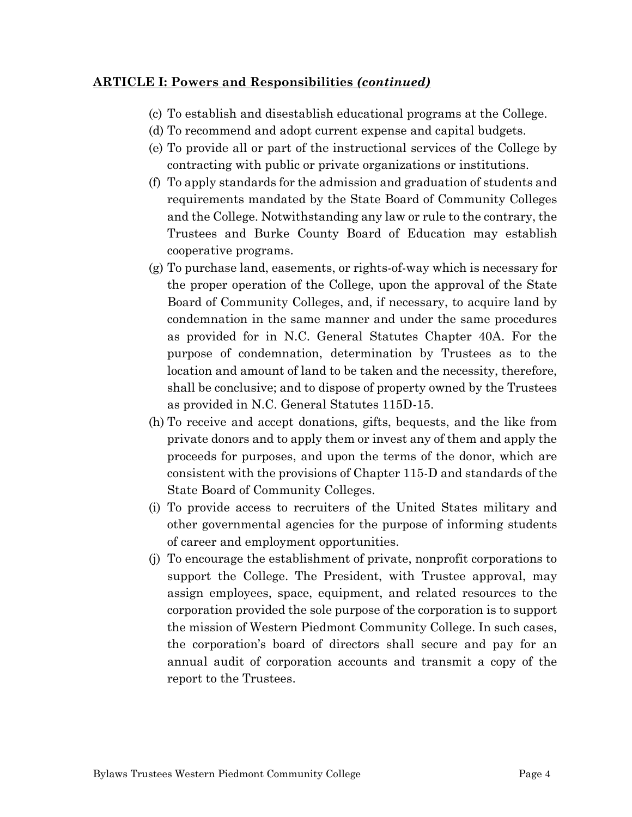#### **ARTICLE I: Powers and Responsibilities** *(continued)*

- (c) To establish and disestablish educational programs at the College.
- (d) To recommend and adopt current expense and capital budgets.
- (e) To provide all or part of the instructional services of the College by contracting with public or private organizations or institutions.
- (f) To apply standards for the admission and graduation of students and requirements mandated by the State Board of Community Colleges and the College. Notwithstanding any law or rule to the contrary, the Trustees and Burke County Board of Education may establish cooperative programs.
- (g) To purchase land, easements, or rights-of-way which is necessary for the proper operation of the College, upon the approval of the State Board of Community Colleges, and, if necessary, to acquire land by condemnation in the same manner and under the same procedures as provided for in N.C. General Statutes Chapter 40A. For the purpose of condemnation, determination by Trustees as to the location and amount of land to be taken and the necessity, therefore, shall be conclusive; and to dispose of property owned by the Trustees as provided in N.C. General Statutes 115D-15.
- (h) To receive and accept donations, gifts, bequests, and the like from private donors and to apply them or invest any of them and apply the proceeds for purposes, and upon the terms of the donor, which are consistent with the provisions of Chapter 115-D and standards of the State Board of Community Colleges.
- (i) To provide access to recruiters of the United States military and other governmental agencies for the purpose of informing students of career and employment opportunities.
- (j) To encourage the establishment of private, nonprofit corporations to support the College. The President, with Trustee approval, may assign employees, space, equipment, and related resources to the corporation provided the sole purpose of the corporation is to support the mission of Western Piedmont Community College. In such cases, the corporation's board of directors shall secure and pay for an annual audit of corporation accounts and transmit a copy of the report to the Trustees.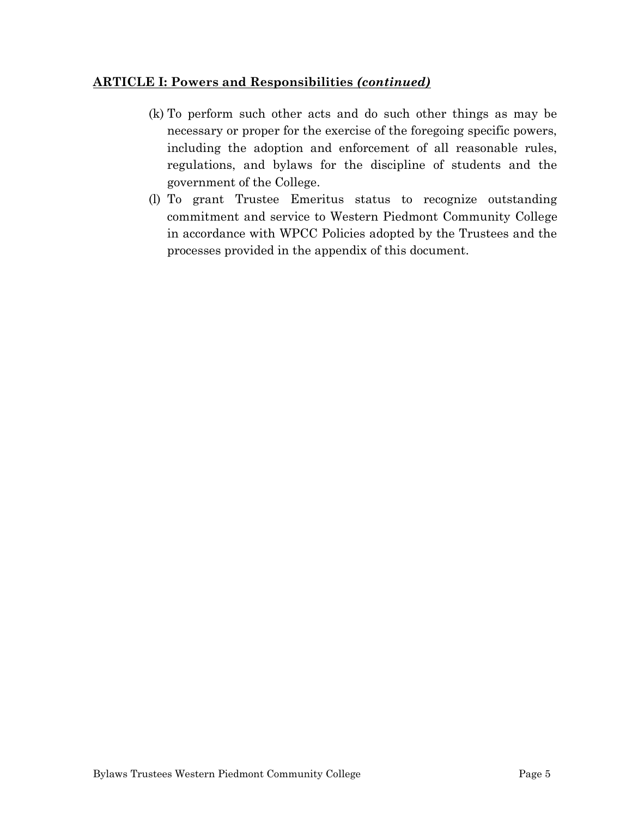#### **ARTICLE I: Powers and Responsibilities** *(continued)*

- (k) To perform such other acts and do such other things as may be necessary or proper for the exercise of the foregoing specific powers, including the adoption and enforcement of all reasonable rules, regulations, and bylaws for the discipline of students and the government of the College.
- (l) To grant Trustee Emeritus status to recognize outstanding commitment and service to Western Piedmont Community College in accordance with WPCC Policies adopted by the Trustees and the processes provided in the appendix of this document.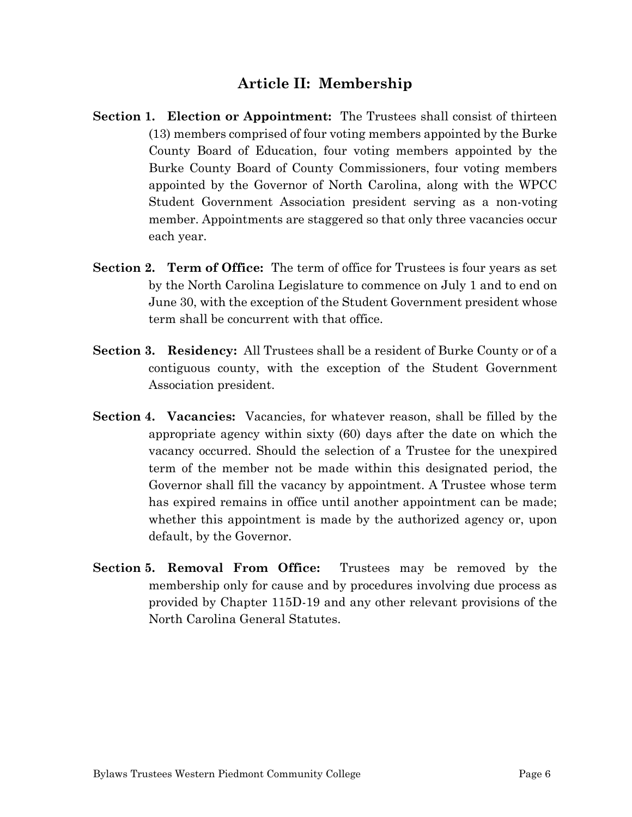## **Article II: Membership**

- **Section 1. Election or Appointment:** The Trustees shall consist of thirteen (13) members comprised of four voting members appointed by the Burke County Board of Education, four voting members appointed by the Burke County Board of County Commissioners, four voting members appointed by the Governor of North Carolina, along with the WPCC Student Government Association president serving as a non-voting member. Appointments are staggered so that only three vacancies occur each year.
- **Section 2. Term of Office:** The term of office for Trustees is four years as set by the North Carolina Legislature to commence on July 1 and to end on June 30, with the exception of the Student Government president whose term shall be concurrent with that office.
- **Section 3. Residency:** All Trustees shall be a resident of Burke County or of a contiguous county, with the exception of the Student Government Association president.
- **Section 4. Vacancies:** Vacancies, for whatever reason, shall be filled by the appropriate agency within sixty (60) days after the date on which the vacancy occurred. Should the selection of a Trustee for the unexpired term of the member not be made within this designated period, the Governor shall fill the vacancy by appointment. A Trustee whose term has expired remains in office until another appointment can be made; whether this appointment is made by the authorized agency or, upon default, by the Governor.
- **Section 5. Removal From Office:** Trustees may be removed by the membership only for cause and by procedures involving due process as provided by Chapter 115D-19 and any other relevant provisions of the North Carolina General Statutes.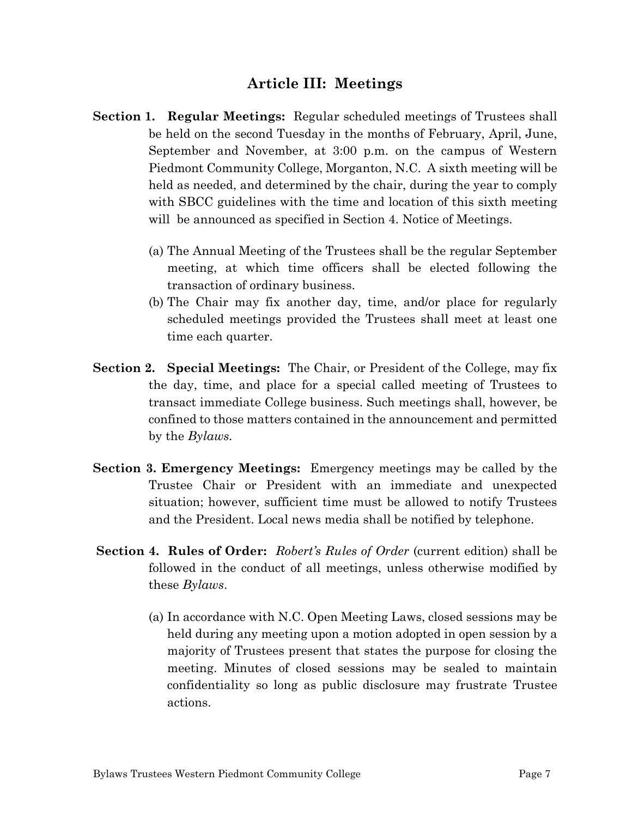## **Article III: Meetings**

- **Section 1. Regular Meetings:** Regular scheduled meetings of Trustees shall be held on the second Tuesday in the months of February, April, June, September and November, at 3:00 p.m. on the campus of Western Piedmont Community College, Morganton, N.C. A sixth meeting will be held as needed, and determined by the chair, during the year to comply with SBCC guidelines with the time and location of this sixth meeting will be announced as specified in Section 4. Notice of Meetings.
	- (a) The Annual Meeting of the Trustees shall be the regular September meeting, at which time officers shall be elected following the transaction of ordinary business.
	- (b) The Chair may fix another day, time, and/or place for regularly scheduled meetings provided the Trustees shall meet at least one time each quarter.
- **Section 2. Special Meetings:** The Chair, or President of the College, may fix the day, time, and place for a special called meeting of Trustees to transact immediate College business. Such meetings shall, however, be confined to those matters contained in the announcement and permitted by the *Bylaws.*
- **Section 3. Emergency Meetings:** Emergency meetings may be called by the Trustee Chair or President with an immediate and unexpected situation; however, sufficient time must be allowed to notify Trustees and the President. Local news media shall be notified by telephone.
- **Section 4. Rules of Order:** *Robert's Rules of Order* (current edition) shall be followed in the conduct of all meetings, unless otherwise modified by these *Bylaws*.
	- (a) In accordance with N.C. Open Meeting Laws, closed sessions may be held during any meeting upon a motion adopted in open session by a majority of Trustees present that states the purpose for closing the meeting. Minutes of closed sessions may be sealed to maintain confidentiality so long as public disclosure may frustrate Trustee actions.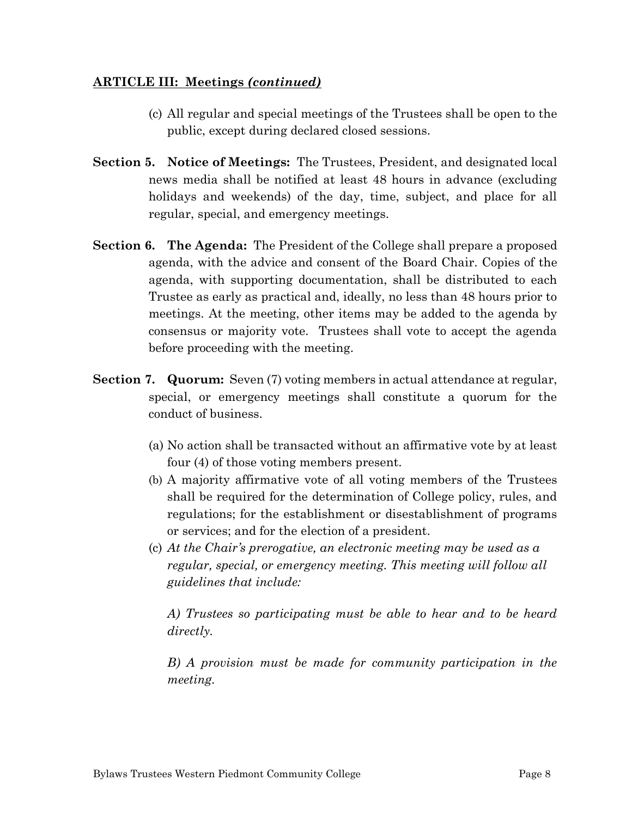#### **ARTICLE III: Meetings** *(continued)*

- (c) All regular and special meetings of the Trustees shall be open to the public, except during declared closed sessions.
- **Section 5. Notice of Meetings:** The Trustees, President, and designated local news media shall be notified at least 48 hours in advance (excluding holidays and weekends) of the day, time, subject, and place for all regular, special, and emergency meetings.
- **Section 6. The Agenda:** The President of the College shall prepare a proposed agenda, with the advice and consent of the Board Chair. Copies of the agenda, with supporting documentation, shall be distributed to each Trustee as early as practical and, ideally, no less than 48 hours prior to meetings. At the meeting, other items may be added to the agenda by consensus or majority vote. Trustees shall vote to accept the agenda before proceeding with the meeting.
- **Section 7. Quorum:** Seven (7) voting members in actual attendance at regular, special, or emergency meetings shall constitute a quorum for the conduct of business.
	- (a) No action shall be transacted without an affirmative vote by at least four (4) of those voting members present.
	- (b) A majority affirmative vote of all voting members of the Trustees shall be required for the determination of College policy, rules, and regulations; for the establishment or disestablishment of programs or services; and for the election of a president.
	- (c) *At the Chair's prerogative, an electronic meeting may be used as a regular, special, or emergency meeting. This meeting will follow all guidelines that include:*

*A) Trustees so participating must be able to hear and to be heard directly.*

*B) A provision must be made for community participation in the meeting.*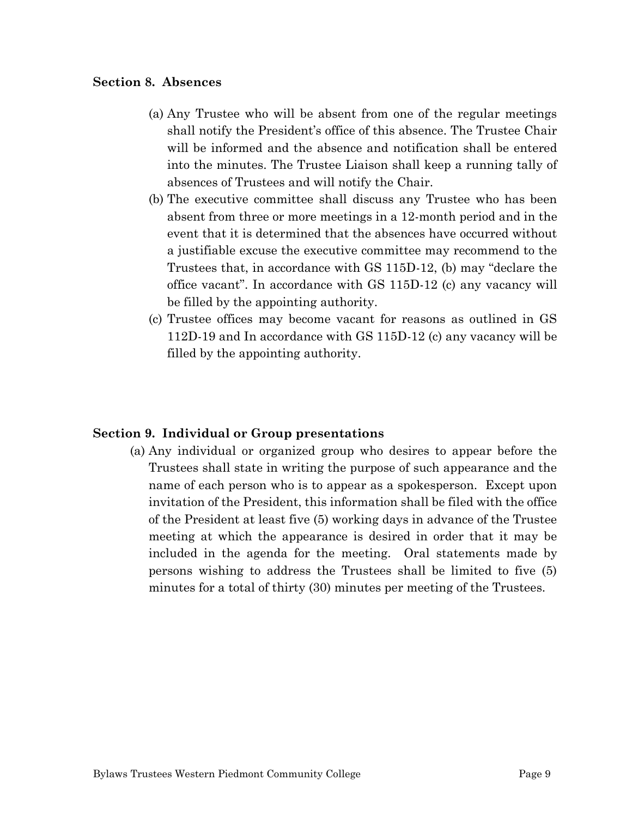#### **Section 8. Absences**

- (a) Any Trustee who will be absent from one of the regular meetings shall notify the President's office of this absence. The Trustee Chair will be informed and the absence and notification shall be entered into the minutes. The Trustee Liaison shall keep a running tally of absences of Trustees and will notify the Chair.
- (b) The executive committee shall discuss any Trustee who has been absent from three or more meetings in a 12-month period and in the event that it is determined that the absences have occurred without a justifiable excuse the executive committee may recommend to the Trustees that, in accordance with GS 115D-12, (b) may "declare the office vacant". In accordance with GS 115D-12 (c) any vacancy will be filled by the appointing authority.
- (c) Trustee offices may become vacant for reasons as outlined in GS 112D-19 and In accordance with GS 115D-12 (c) any vacancy will be filled by the appointing authority.

#### **Section 9. Individual or Group presentations**

(a) Any individual or organized group who desires to appear before the Trustees shall state in writing the purpose of such appearance and the name of each person who is to appear as a spokesperson. Except upon invitation of the President, this information shall be filed with the office of the President at least five (5) working days in advance of the Trustee meeting at which the appearance is desired in order that it may be included in the agenda for the meeting. Oral statements made by persons wishing to address the Trustees shall be limited to five (5) minutes for a total of thirty (30) minutes per meeting of the Trustees.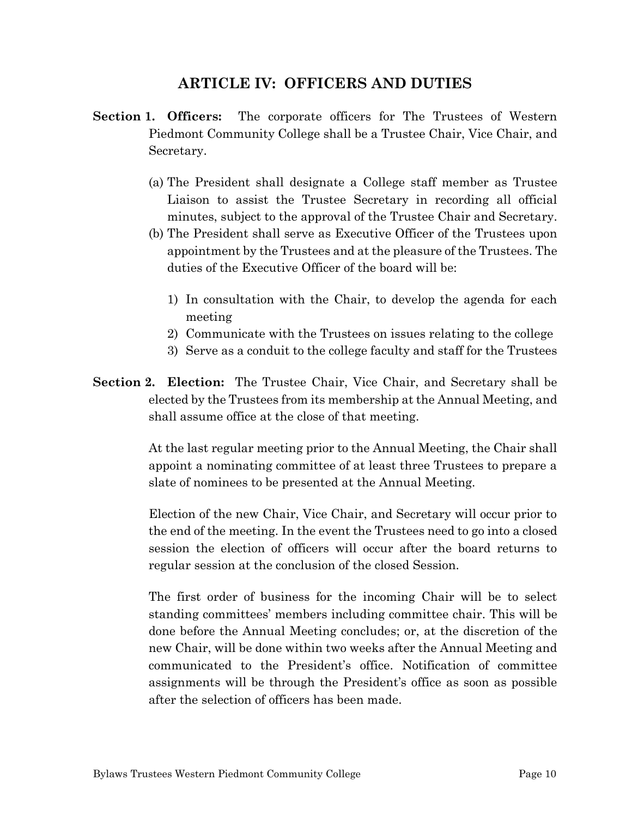## **ARTICLE IV: OFFICERS AND DUTIES**

- **Section 1. Officers:** The corporate officers for The Trustees of Western Piedmont Community College shall be a Trustee Chair, Vice Chair, and Secretary.
	- (a) The President shall designate a College staff member as Trustee Liaison to assist the Trustee Secretary in recording all official minutes, subject to the approval of the Trustee Chair and Secretary.
	- (b) The President shall serve as Executive Officer of the Trustees upon appointment by the Trustees and at the pleasure of the Trustees. The duties of the Executive Officer of the board will be:
		- 1) In consultation with the Chair, to develop the agenda for each meeting
		- 2) Communicate with the Trustees on issues relating to the college
		- 3) Serve as a conduit to the college faculty and staff for the Trustees
- **Section 2. Election:** The Trustee Chair, Vice Chair, and Secretary shall be elected by the Trustees from its membership at the Annual Meeting, and shall assume office at the close of that meeting.

At the last regular meeting prior to the Annual Meeting, the Chair shall appoint a nominating committee of at least three Trustees to prepare a slate of nominees to be presented at the Annual Meeting.

Election of the new Chair, Vice Chair, and Secretary will occur prior to the end of the meeting. In the event the Trustees need to go into a closed session the election of officers will occur after the board returns to regular session at the conclusion of the closed Session.

The first order of business for the incoming Chair will be to select standing committees' members including committee chair. This will be done before the Annual Meeting concludes; or, at the discretion of the new Chair, will be done within two weeks after the Annual Meeting and communicated to the President's office. Notification of committee assignments will be through the President's office as soon as possible after the selection of officers has been made.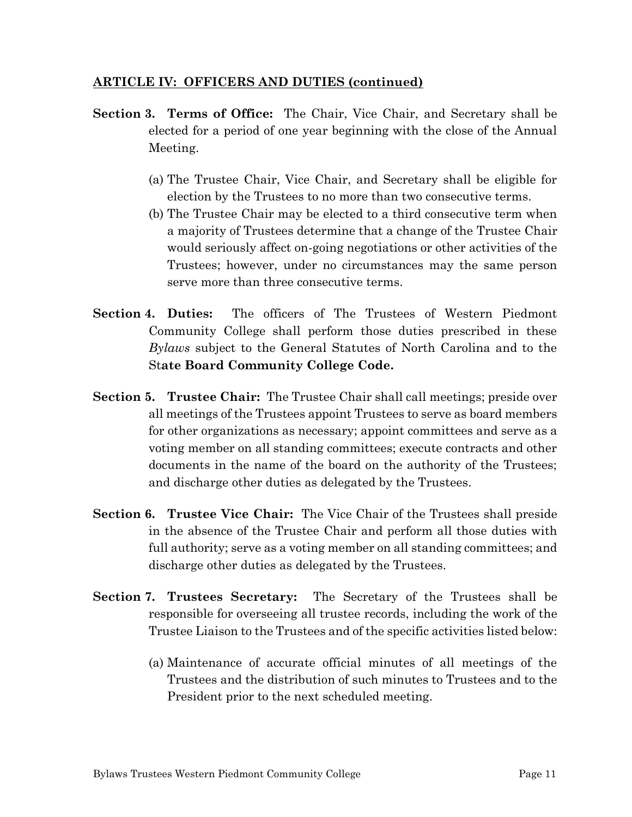- **Section 3. Terms of Office:** The Chair, Vice Chair, and Secretary shall be elected for a period of one year beginning with the close of the Annual Meeting.
	- (a) The Trustee Chair, Vice Chair, and Secretary shall be eligible for election by the Trustees to no more than two consecutive terms.
	- (b) The Trustee Chair may be elected to a third consecutive term when a majority of Trustees determine that a change of the Trustee Chair would seriously affect on-going negotiations or other activities of the Trustees; however, under no circumstances may the same person serve more than three consecutive terms.
- **Section 4. Duties:** The officers of The Trustees of Western Piedmont Community College shall perform those duties prescribed in these *Bylaws* subject to the General Statutes of North Carolina and to the St**ate Board Community College Code.**
- **Section 5. Trustee Chair:** The Trustee Chair shall call meetings; preside over all meetings of the Trustees appoint Trustees to serve as board members for other organizations as necessary; appoint committees and serve as a voting member on all standing committees; execute contracts and other documents in the name of the board on the authority of the Trustees; and discharge other duties as delegated by the Trustees.
- **Section 6. Trustee Vice Chair:** The Vice Chair of the Trustees shall preside in the absence of the Trustee Chair and perform all those duties with full authority; serve as a voting member on all standing committees; and discharge other duties as delegated by the Trustees.
- **Section 7. Trustees Secretary:** The Secretary of the Trustees shall be responsible for overseeing all trustee records, including the work of the Trustee Liaison to the Trustees and of the specific activities listed below:
	- (a) Maintenance of accurate official minutes of all meetings of the Trustees and the distribution of such minutes to Trustees and to the President prior to the next scheduled meeting.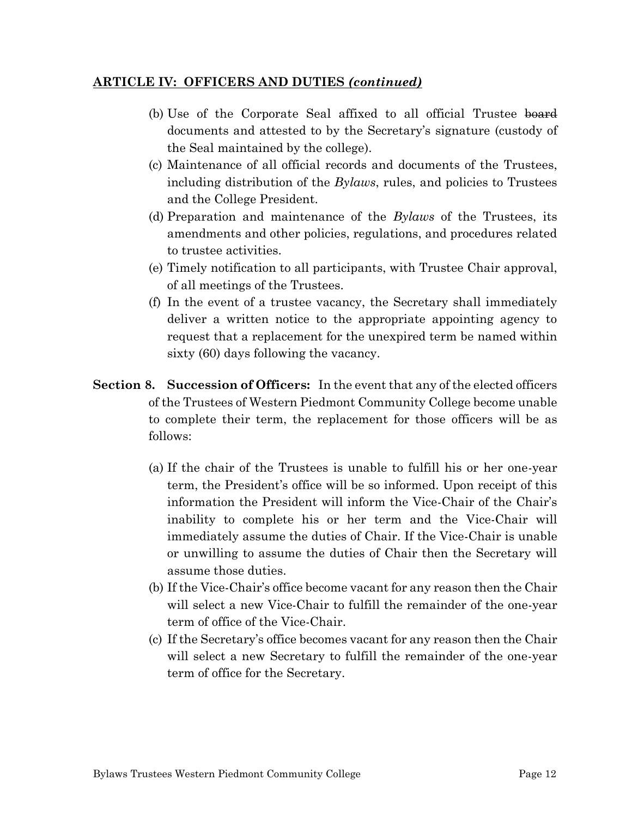- (b) Use of the Corporate Seal affixed to all official Trustee board documents and attested to by the Secretary's signature (custody of the Seal maintained by the college).
- (c) Maintenance of all official records and documents of the Trustees, including distribution of the *Bylaws*, rules, and policies to Trustees and the College President.
- (d) Preparation and maintenance of the *Bylaws* of the Trustees, its amendments and other policies, regulations, and procedures related to trustee activities.
- (e) Timely notification to all participants, with Trustee Chair approval, of all meetings of the Trustees.
- (f) In the event of a trustee vacancy, the Secretary shall immediately deliver a written notice to the appropriate appointing agency to request that a replacement for the unexpired term be named within sixty (60) days following the vacancy.
- **Section 8. Succession of Officers:** In the event that any of the elected officers of the Trustees of Western Piedmont Community College become unable to complete their term, the replacement for those officers will be as follows:
	- (a) If the chair of the Trustees is unable to fulfill his or her one-year term, the President's office will be so informed. Upon receipt of this information the President will inform the Vice-Chair of the Chair's inability to complete his or her term and the Vice-Chair will immediately assume the duties of Chair. If the Vice-Chair is unable or unwilling to assume the duties of Chair then the Secretary will assume those duties.
	- (b) If the Vice-Chair's office become vacant for any reason then the Chair will select a new Vice-Chair to fulfill the remainder of the one-year term of office of the Vice-Chair.
	- (c) If the Secretary's office becomes vacant for any reason then the Chair will select a new Secretary to fulfill the remainder of the one-year term of office for the Secretary.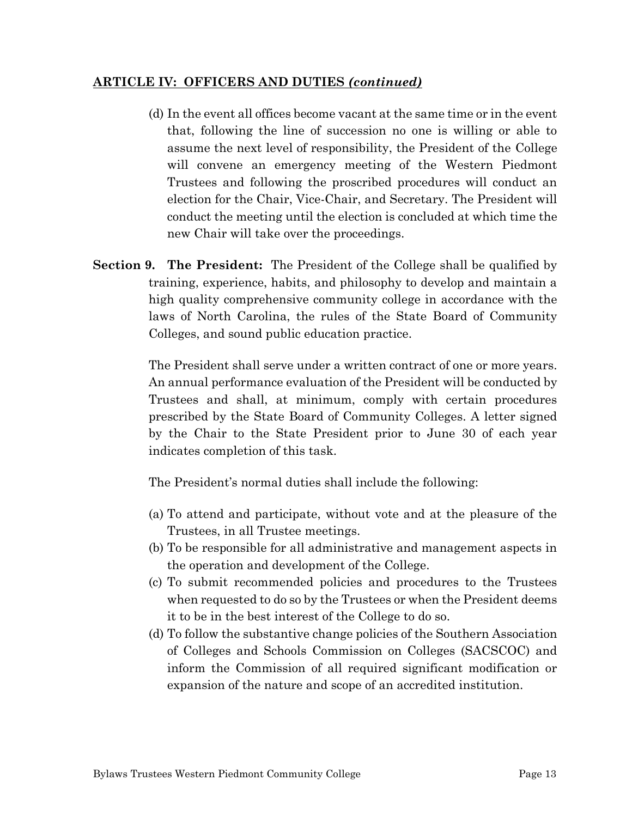- (d) In the event all offices become vacant at the same time or in the event that, following the line of succession no one is willing or able to assume the next level of responsibility, the President of the College will convene an emergency meeting of the Western Piedmont Trustees and following the proscribed procedures will conduct an election for the Chair, Vice-Chair, and Secretary. The President will conduct the meeting until the election is concluded at which time the new Chair will take over the proceedings.
- **Section 9. The President:** The President of the College shall be qualified by training, experience, habits, and philosophy to develop and maintain a high quality comprehensive community college in accordance with the laws of North Carolina, the rules of the State Board of Community Colleges, and sound public education practice.

The President shall serve under a written contract of one or more years. An annual performance evaluation of the President will be conducted by Trustees and shall, at minimum, comply with certain procedures prescribed by the State Board of Community Colleges. A letter signed by the Chair to the State President prior to June 30 of each year indicates completion of this task.

The President's normal duties shall include the following:

- (a) To attend and participate, without vote and at the pleasure of the Trustees, in all Trustee meetings.
- (b) To be responsible for all administrative and management aspects in the operation and development of the College.
- (c) To submit recommended policies and procedures to the Trustees when requested to do so by the Trustees or when the President deems it to be in the best interest of the College to do so.
- (d) To follow the substantive change policies of the Southern Association of Colleges and Schools Commission on Colleges (SACSCOC) and inform the Commission of all required significant modification or expansion of the nature and scope of an accredited institution.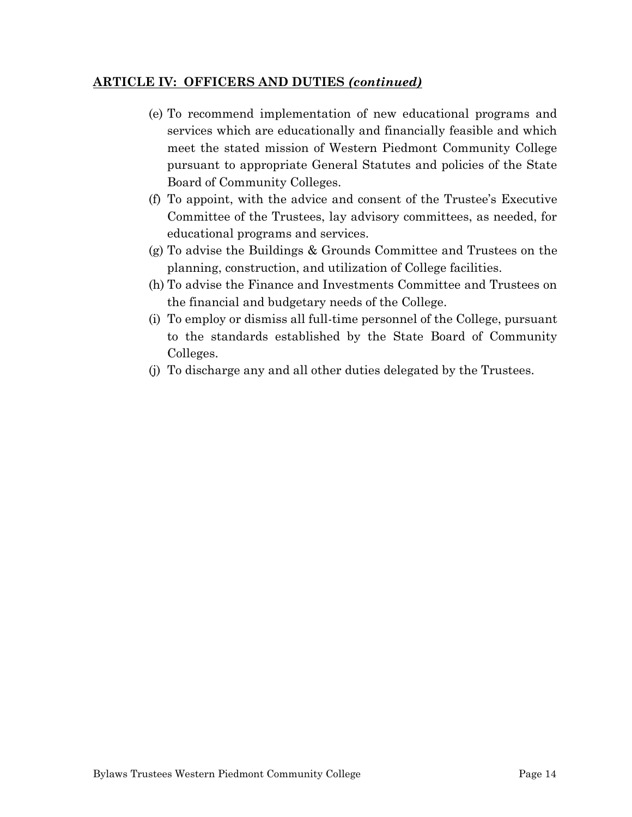- (e) To recommend implementation of new educational programs and services which are educationally and financially feasible and which meet the stated mission of Western Piedmont Community College pursuant to appropriate General Statutes and policies of the State Board of Community Colleges.
- (f) To appoint, with the advice and consent of the Trustee's Executive Committee of the Trustees, lay advisory committees, as needed, for educational programs and services.
- (g) To advise the Buildings & Grounds Committee and Trustees on the planning, construction, and utilization of College facilities.
- (h) To advise the Finance and Investments Committee and Trustees on the financial and budgetary needs of the College.
- (i) To employ or dismiss all full-time personnel of the College, pursuant to the standards established by the State Board of Community Colleges.
- (j) To discharge any and all other duties delegated by the Trustees.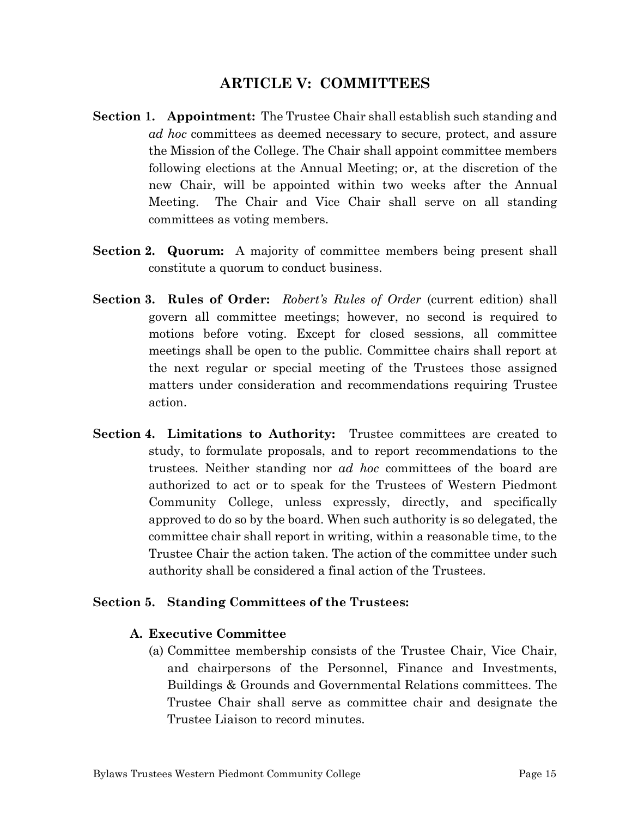## **ARTICLE V: COMMITTEES**

- **Section 1. Appointment:** The Trustee Chair shall establish such standing and *ad hoc* committees as deemed necessary to secure, protect, and assure the Mission of the College. The Chair shall appoint committee members following elections at the Annual Meeting; or, at the discretion of the new Chair, will be appointed within two weeks after the Annual Meeting. The Chair and Vice Chair shall serve on all standing committees as voting members.
- **Section 2. Quorum:** A majority of committee members being present shall constitute a quorum to conduct business.
- **Section 3. Rules of Order:** *Robert's Rules of Order* (current edition) shall govern all committee meetings; however, no second is required to motions before voting. Except for closed sessions, all committee meetings shall be open to the public. Committee chairs shall report at the next regular or special meeting of the Trustees those assigned matters under consideration and recommendations requiring Trustee action.
- **Section 4. Limitations to Authority:** Trustee committees are created to study, to formulate proposals, and to report recommendations to the trustees. Neither standing nor *ad hoc* committees of the board are authorized to act or to speak for the Trustees of Western Piedmont Community College, unless expressly, directly, and specifically approved to do so by the board. When such authority is so delegated, the committee chair shall report in writing, within a reasonable time, to the Trustee Chair the action taken. The action of the committee under such authority shall be considered a final action of the Trustees.

#### **Section 5. Standing Committees of the Trustees:**

#### **A. Executive Committee**

(a) Committee membership consists of the Trustee Chair, Vice Chair, and chairpersons of the Personnel, Finance and Investments, Buildings & Grounds and Governmental Relations committees. The Trustee Chair shall serve as committee chair and designate the Trustee Liaison to record minutes.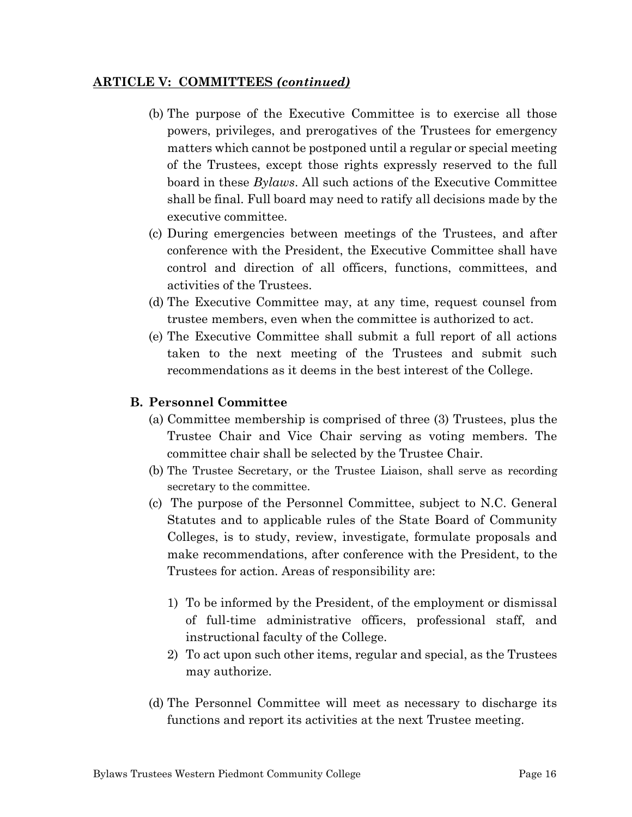- (b) The purpose of the Executive Committee is to exercise all those powers, privileges, and prerogatives of the Trustees for emergency matters which cannot be postponed until a regular or special meeting of the Trustees, except those rights expressly reserved to the full board in these *Bylaws*. All such actions of the Executive Committee shall be final. Full board may need to ratify all decisions made by the executive committee.
- (c) During emergencies between meetings of the Trustees, and after conference with the President, the Executive Committee shall have control and direction of all officers, functions, committees, and activities of the Trustees.
- (d) The Executive Committee may, at any time, request counsel from trustee members, even when the committee is authorized to act.
- (e) The Executive Committee shall submit a full report of all actions taken to the next meeting of the Trustees and submit such recommendations as it deems in the best interest of the College.

#### **B. Personnel Committee**

- (a) Committee membership is comprised of three (3) Trustees, plus the Trustee Chair and Vice Chair serving as voting members. The committee chair shall be selected by the Trustee Chair.
- (b) The Trustee Secretary, or the Trustee Liaison, shall serve as recording secretary to the committee.
- (c) The purpose of the Personnel Committee, subject to N.C. General Statutes and to applicable rules of the State Board of Community Colleges, is to study, review, investigate, formulate proposals and make recommendations, after conference with the President, to the Trustees for action. Areas of responsibility are:
	- 1) To be informed by the President, of the employment or dismissal of full-time administrative officers, professional staff, and instructional faculty of the College.
	- 2) To act upon such other items, regular and special, as the Trustees may authorize.
- (d) The Personnel Committee will meet as necessary to discharge its functions and report its activities at the next Trustee meeting.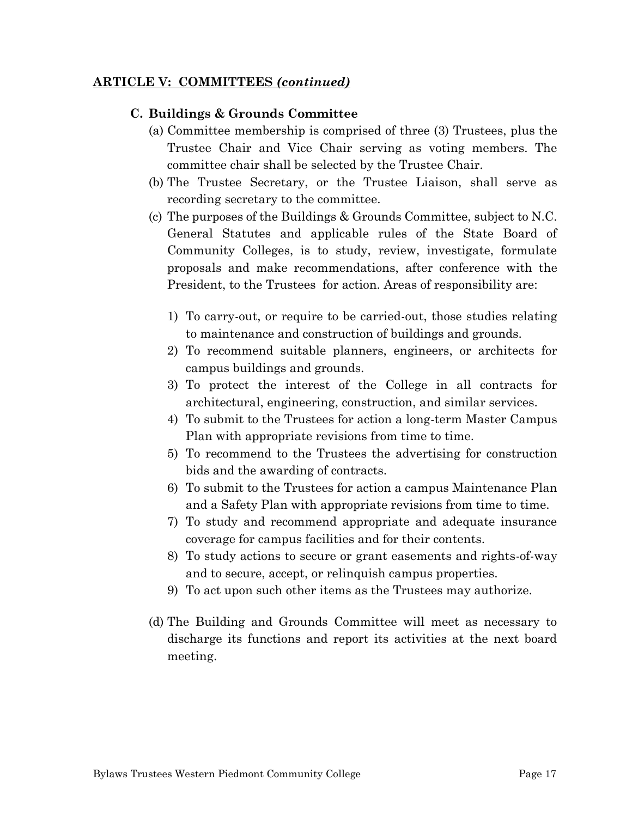#### **C. Buildings & Grounds Committee**

- (a) Committee membership is comprised of three (3) Trustees, plus the Trustee Chair and Vice Chair serving as voting members. The committee chair shall be selected by the Trustee Chair.
- (b) The Trustee Secretary, or the Trustee Liaison, shall serve as recording secretary to the committee.
- (c) The purposes of the Buildings & Grounds Committee, subject to N.C. General Statutes and applicable rules of the State Board of Community Colleges, is to study, review, investigate, formulate proposals and make recommendations, after conference with the President, to the Trustees for action. Areas of responsibility are:
	- 1) To carry-out, or require to be carried-out, those studies relating to maintenance and construction of buildings and grounds.
	- 2) To recommend suitable planners, engineers, or architects for campus buildings and grounds.
	- 3) To protect the interest of the College in all contracts for architectural, engineering, construction, and similar services.
	- 4) To submit to the Trustees for action a long-term Master Campus Plan with appropriate revisions from time to time.
	- 5) To recommend to the Trustees the advertising for construction bids and the awarding of contracts.
	- 6) To submit to the Trustees for action a campus Maintenance Plan and a Safety Plan with appropriate revisions from time to time.
	- 7) To study and recommend appropriate and adequate insurance coverage for campus facilities and for their contents.
	- 8) To study actions to secure or grant easements and rights-of-way and to secure, accept, or relinquish campus properties.
	- 9) To act upon such other items as the Trustees may authorize.
- (d) The Building and Grounds Committee will meet as necessary to discharge its functions and report its activities at the next board meeting.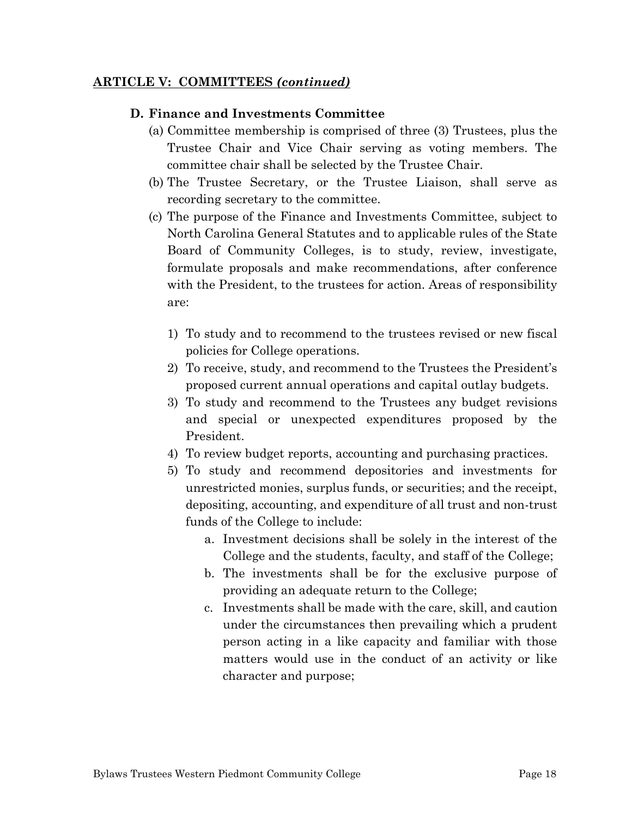#### **D. Finance and Investments Committee**

- (a) Committee membership is comprised of three (3) Trustees, plus the Trustee Chair and Vice Chair serving as voting members. The committee chair shall be selected by the Trustee Chair.
- (b) The Trustee Secretary, or the Trustee Liaison, shall serve as recording secretary to the committee.
- (c) The purpose of the Finance and Investments Committee, subject to North Carolina General Statutes and to applicable rules of the State Board of Community Colleges, is to study, review, investigate, formulate proposals and make recommendations, after conference with the President, to the trustees for action. Areas of responsibility are:
	- 1) To study and to recommend to the trustees revised or new fiscal policies for College operations.
	- 2) To receive, study, and recommend to the Trustees the President's proposed current annual operations and capital outlay budgets.
	- 3) To study and recommend to the Trustees any budget revisions and special or unexpected expenditures proposed by the President.
	- 4) To review budget reports, accounting and purchasing practices.
	- 5) To study and recommend depositories and investments for unrestricted monies, surplus funds, or securities; and the receipt, depositing, accounting, and expenditure of all trust and non-trust funds of the College to include:
		- a. Investment decisions shall be solely in the interest of the College and the students, faculty, and staff of the College;
		- b. The investments shall be for the exclusive purpose of providing an adequate return to the College;
		- c. Investments shall be made with the care, skill, and caution under the circumstances then prevailing which a prudent person acting in a like capacity and familiar with those matters would use in the conduct of an activity or like character and purpose;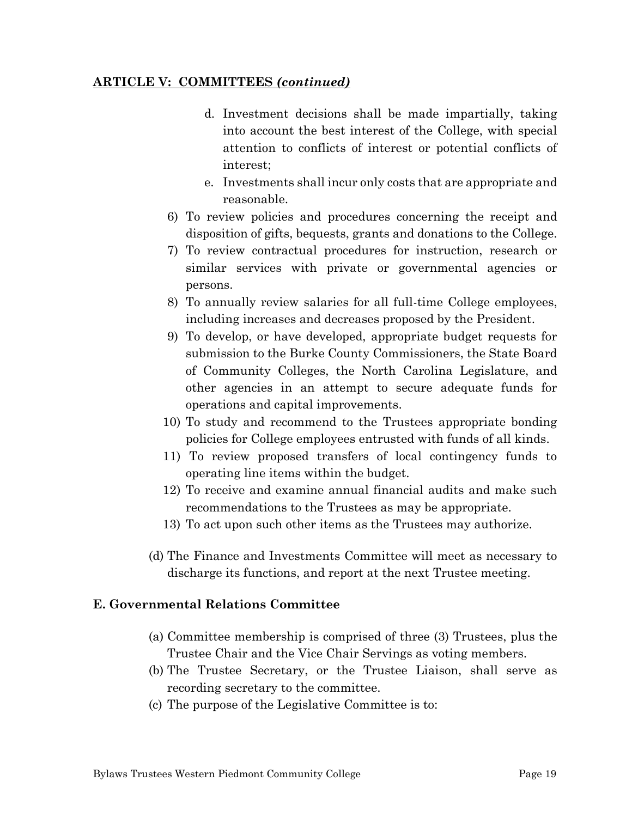- d. Investment decisions shall be made impartially, taking into account the best interest of the College, with special attention to conflicts of interest or potential conflicts of interest;
- e. Investments shall incur only costs that are appropriate and reasonable.
- 6) To review policies and procedures concerning the receipt and disposition of gifts, bequests, grants and donations to the College.
- 7) To review contractual procedures for instruction, research or similar services with private or governmental agencies or persons.
- 8) To annually review salaries for all full-time College employees, including increases and decreases proposed by the President.
- 9) To develop, or have developed, appropriate budget requests for submission to the Burke County Commissioners, the State Board of Community Colleges, the North Carolina Legislature, and other agencies in an attempt to secure adequate funds for operations and capital improvements.
- 10) To study and recommend to the Trustees appropriate bonding policies for College employees entrusted with funds of all kinds.
- 11) To review proposed transfers of local contingency funds to operating line items within the budget.
- 12) To receive and examine annual financial audits and make such recommendations to the Trustees as may be appropriate.
- 13) To act upon such other items as the Trustees may authorize.
- (d) The Finance and Investments Committee will meet as necessary to discharge its functions, and report at the next Trustee meeting.

#### **E. Governmental Relations Committee**

- (a) Committee membership is comprised of three (3) Trustees, plus the Trustee Chair and the Vice Chair Servings as voting members.
- (b) The Trustee Secretary, or the Trustee Liaison, shall serve as recording secretary to the committee.
- (c) The purpose of the Legislative Committee is to: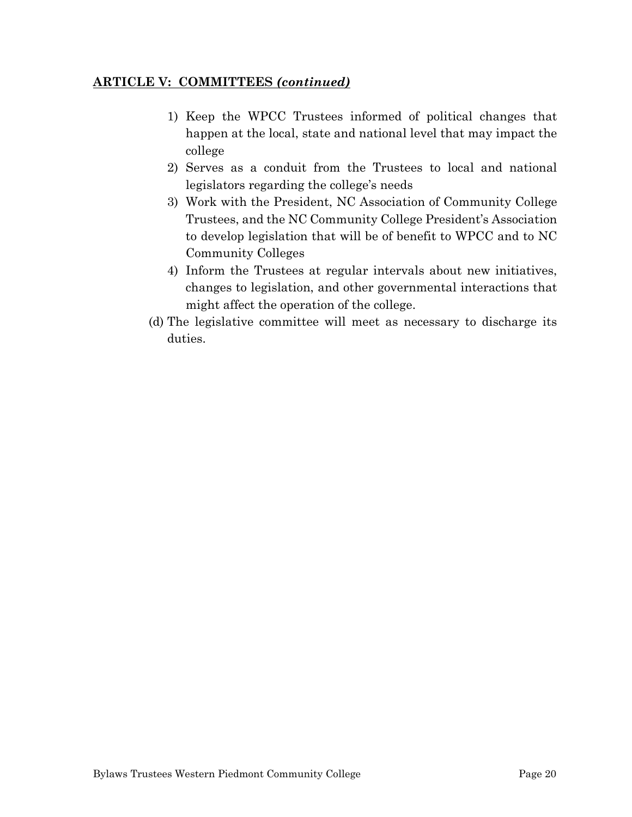- 1) Keep the WPCC Trustees informed of political changes that happen at the local, state and national level that may impact the college
- 2) Serves as a conduit from the Trustees to local and national legislators regarding the college's needs
- 3) Work with the President, NC Association of Community College Trustees, and the NC Community College President's Association to develop legislation that will be of benefit to WPCC and to NC Community Colleges
- 4) Inform the Trustees at regular intervals about new initiatives, changes to legislation, and other governmental interactions that might affect the operation of the college.
- (d) The legislative committee will meet as necessary to discharge its duties.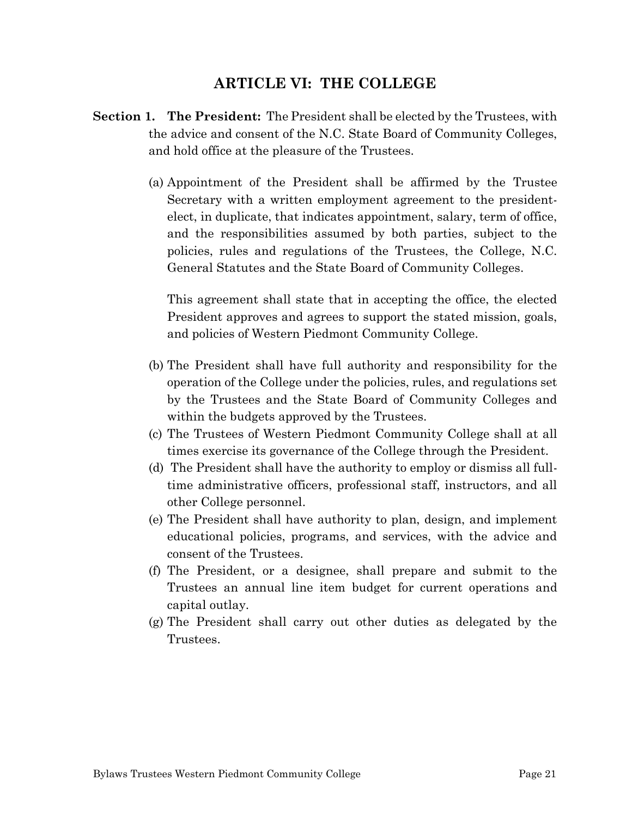## **ARTICLE VI: THE COLLEGE**

- **Section 1. The President:** The President shall be elected by the Trustees, with the advice and consent of the N.C. State Board of Community Colleges, and hold office at the pleasure of the Trustees.
	- (a) Appointment of the President shall be affirmed by the Trustee Secretary with a written employment agreement to the presidentelect, in duplicate, that indicates appointment, salary, term of office, and the responsibilities assumed by both parties, subject to the policies, rules and regulations of the Trustees, the College, N.C. General Statutes and the State Board of Community Colleges.

This agreement shall state that in accepting the office, the elected President approves and agrees to support the stated mission, goals, and policies of Western Piedmont Community College.

- (b) The President shall have full authority and responsibility for the operation of the College under the policies, rules, and regulations set by the Trustees and the State Board of Community Colleges and within the budgets approved by the Trustees.
- (c) The Trustees of Western Piedmont Community College shall at all times exercise its governance of the College through the President.
- (d) The President shall have the authority to employ or dismiss all fulltime administrative officers, professional staff, instructors, and all other College personnel.
- (e) The President shall have authority to plan, design, and implement educational policies, programs, and services, with the advice and consent of the Trustees.
- (f) The President, or a designee, shall prepare and submit to the Trustees an annual line item budget for current operations and capital outlay.
- (g) The President shall carry out other duties as delegated by the Trustees.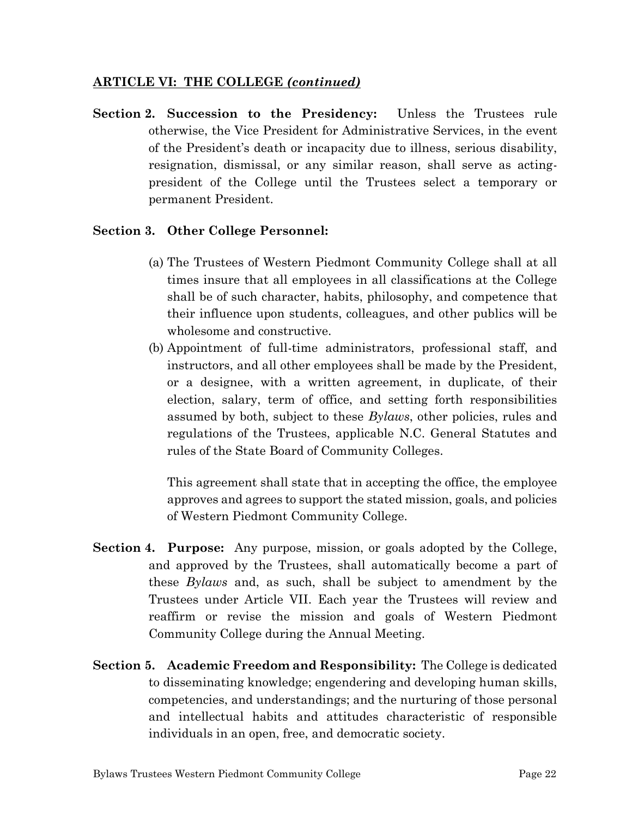#### **ARTICLE VI: THE COLLEGE** *(continued)*

**Section 2. Succession to the Presidency:** Unless the Trustees rule otherwise, the Vice President for Administrative Services, in the event of the President's death or incapacity due to illness, serious disability, resignation, dismissal, or any similar reason, shall serve as actingpresident of the College until the Trustees select a temporary or permanent President.

#### **Section 3. Other College Personnel:**

- (a) The Trustees of Western Piedmont Community College shall at all times insure that all employees in all classifications at the College shall be of such character, habits, philosophy, and competence that their influence upon students, colleagues, and other publics will be wholesome and constructive.
- (b) Appointment of full-time administrators, professional staff, and instructors, and all other employees shall be made by the President, or a designee, with a written agreement, in duplicate, of their election, salary, term of office, and setting forth responsibilities assumed by both, subject to these *Bylaws*, other policies, rules and regulations of the Trustees, applicable N.C. General Statutes and rules of the State Board of Community Colleges.

This agreement shall state that in accepting the office, the employee approves and agrees to support the stated mission, goals, and policies of Western Piedmont Community College.

- **Section 4. Purpose:** Any purpose, mission, or goals adopted by the College, and approved by the Trustees, shall automatically become a part of these *Bylaws* and, as such, shall be subject to amendment by the Trustees under Article VII. Each year the Trustees will review and reaffirm or revise the mission and goals of Western Piedmont Community College during the Annual Meeting.
- **Section 5. Academic Freedom and Responsibility:** The College is dedicated to disseminating knowledge; engendering and developing human skills, competencies, and understandings; and the nurturing of those personal and intellectual habits and attitudes characteristic of responsible individuals in an open, free, and democratic society.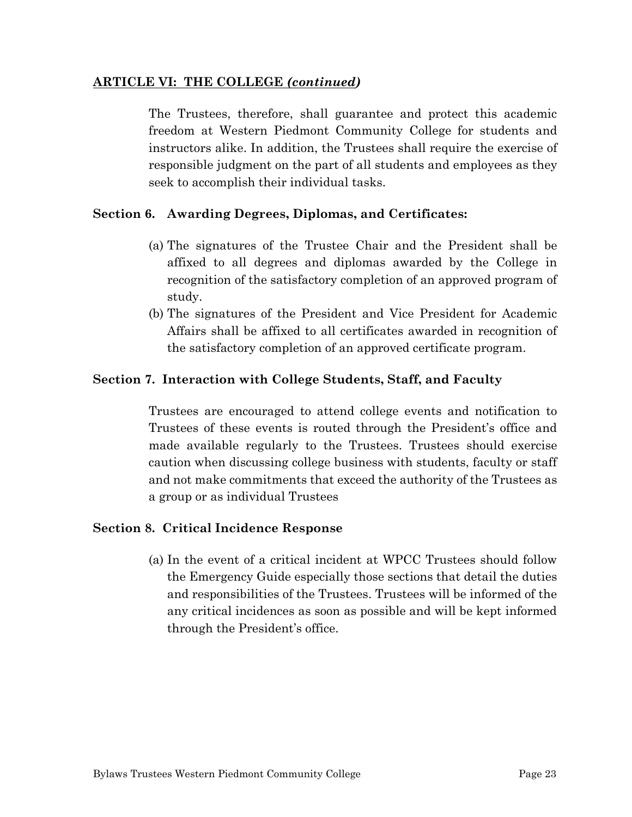#### **ARTICLE VI: THE COLLEGE** *(continued)*

The Trustees, therefore, shall guarantee and protect this academic freedom at Western Piedmont Community College for students and instructors alike. In addition, the Trustees shall require the exercise of responsible judgment on the part of all students and employees as they seek to accomplish their individual tasks.

#### **Section 6. Awarding Degrees, Diplomas, and Certificates:**

- (a) The signatures of the Trustee Chair and the President shall be affixed to all degrees and diplomas awarded by the College in recognition of the satisfactory completion of an approved program of study.
- (b) The signatures of the President and Vice President for Academic Affairs shall be affixed to all certificates awarded in recognition of the satisfactory completion of an approved certificate program.

#### **Section 7. Interaction with College Students, Staff, and Faculty**

Trustees are encouraged to attend college events and notification to Trustees of these events is routed through the President's office and made available regularly to the Trustees. Trustees should exercise caution when discussing college business with students, faculty or staff and not make commitments that exceed the authority of the Trustees as a group or as individual Trustees

#### **Section 8. Critical Incidence Response**

(a) In the event of a critical incident at WPCC Trustees should follow the Emergency Guide especially those sections that detail the duties and responsibilities of the Trustees. Trustees will be informed of the any critical incidences as soon as possible and will be kept informed through the President's office.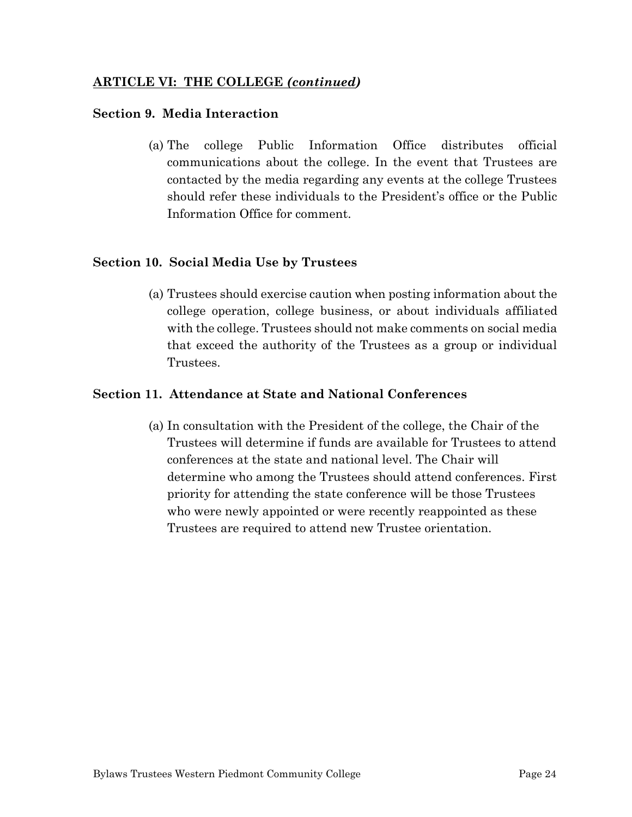#### **ARTICLE VI: THE COLLEGE** *(continued)*

#### **Section 9. Media Interaction**

(a) The college Public Information Office distributes official communications about the college. In the event that Trustees are contacted by the media regarding any events at the college Trustees should refer these individuals to the President's office or the Public Information Office for comment.

#### **Section 10. Social Media Use by Trustees**

(a) Trustees should exercise caution when posting information about the college operation, college business, or about individuals affiliated with the college. Trustees should not make comments on social media that exceed the authority of the Trustees as a group or individual Trustees.

#### **Section 11. Attendance at State and National Conferences**

(a) In consultation with the President of the college, the Chair of the Trustees will determine if funds are available for Trustees to attend conferences at the state and national level. The Chair will determine who among the Trustees should attend conferences. First priority for attending the state conference will be those Trustees who were newly appointed or were recently reappointed as these Trustees are required to attend new Trustee orientation.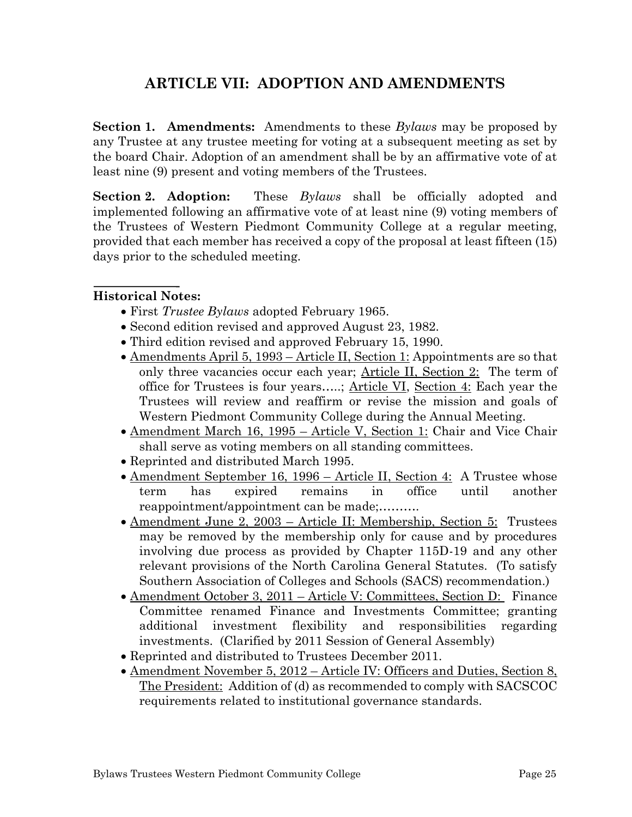## **ARTICLE VII: ADOPTION AND AMENDMENTS**

**Section 1. Amendments:** Amendments to these *Bylaws* may be proposed by any Trustee at any trustee meeting for voting at a subsequent meeting as set by the board Chair. Adoption of an amendment shall be by an affirmative vote of at least nine (9) present and voting members of the Trustees.

**Section 2. Adoption:** These *Bylaws* shall be officially adopted and implemented following an affirmative vote of at least nine (9) voting members of the Trustees of Western Piedmont Community College at a regular meeting, provided that each member has received a copy of the proposal at least fifteen (15) days prior to the scheduled meeting.

#### **Historical Notes:**

- First *Trustee Bylaws* adopted February 1965.
- Second edition revised and approved August 23, 1982.
- Third edition revised and approved February 15, 1990.
- Amendments April 5, 1993 Article II, Section 1: Appointments are so that only three vacancies occur each year; Article II, Section 2: The term of office for Trustees is four years…..; Article VI, Section 4: Each year the Trustees will review and reaffirm or revise the mission and goals of Western Piedmont Community College during the Annual Meeting.
- Amendment March 16, 1995 Article V, Section 1: Chair and Vice Chair shall serve as voting members on all standing committees.
- Reprinted and distributed March 1995.
- Amendment September 16, 1996 Article II, Section 4: A Trustee whose term has expired remains in office until another reappointment/appointment can be made;……….
- Amendment June 2, 2003 Article II: Membership, Section 5: Trustees may be removed by the membership only for cause and by procedures involving due process as provided by Chapter 115D-19 and any other relevant provisions of the North Carolina General Statutes. (To satisfy Southern Association of Colleges and Schools (SACS) recommendation.)
- Amendment October 3, 2011 Article V: Committees, Section D: Finance Committee renamed Finance and Investments Committee; granting additional investment flexibility and responsibilities regarding investments. (Clarified by 2011 Session of General Assembly)
- Reprinted and distributed to Trustees December 2011.
- Amendment November 5, 2012 Article IV: Officers and Duties, Section 8, The President: Addition of (d) as recommended to comply with SACSCOC requirements related to institutional governance standards.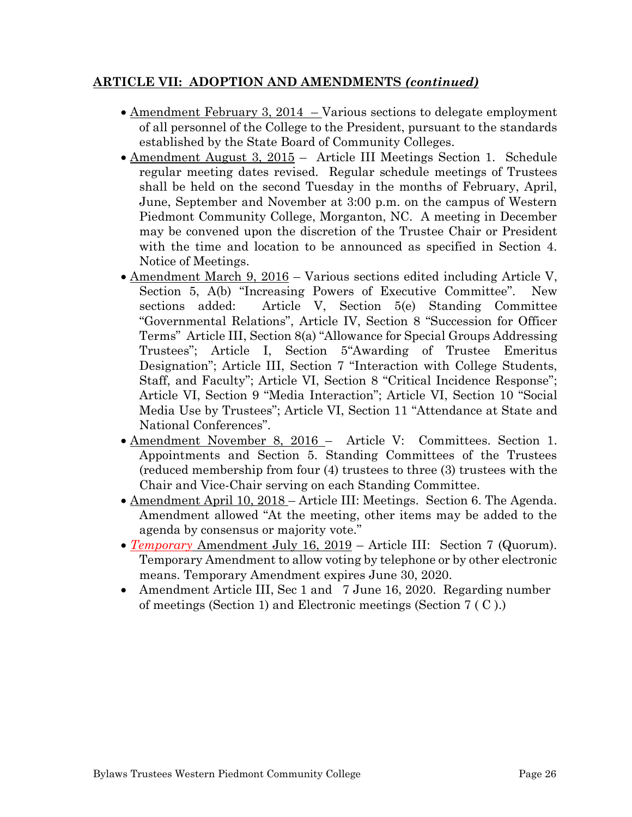#### **ARTICLE VII: ADOPTION AND AMENDMENTS** *(continued)*

- <u>Amendment February 3, 2014</u> Various sections to delegate employment of all personnel of the College to the President, pursuant to the standards established by the State Board of Community Colleges.
- <u>Amendment August 3, 2015</u> Article III Meetings Section 1. Schedule regular meeting dates revised. Regular schedule meetings of Trustees shall be held on the second Tuesday in the months of February, April, June, September and November at 3:00 p.m. on the campus of Western Piedmont Community College, Morganton, NC. A meeting in December may be convened upon the discretion of the Trustee Chair or President with the time and location to be announced as specified in Section 4. Notice of Meetings.
- Amendment March 9, 2016 Various sections edited including Article V, Section 5, A(b) "Increasing Powers of Executive Committee". New sections added: Article V, Section 5(e) Standing Committee "Governmental Relations", Article IV, Section 8 "Succession for Officer Terms" Article III, Section 8(a) "Allowance for Special Groups Addressing Trustees"; Article I, Section 5"Awarding of Trustee Emeritus Designation"; Article III, Section 7 "Interaction with College Students, Staff, and Faculty"; Article VI, Section 8 "Critical Incidence Response"; Article VI, Section 9 "Media Interaction"; Article VI, Section 10 "Social Media Use by Trustees"; Article VI, Section 11 "Attendance at State and National Conferences".
- <u>Amendment November 8, 2016</u> Article V: Committees. Section 1. Appointments and Section 5. Standing Committees of the Trustees (reduced membership from four (4) trustees to three (3) trustees with the Chair and Vice-Chair serving on each Standing Committee.
- Amendment April 10, 2018 Article III: Meetings. Section 6. The Agenda. Amendment allowed "At the meeting, other items may be added to the agenda by consensus or majority vote."
- *Temporary* Amendment July 16, 2019 Article III: Section 7 (Quorum). Temporary Amendment to allow voting by telephone or by other electronic means. Temporary Amendment expires June 30, 2020.
- Amendment Article III, Sec 1 and 7 June 16, 2020. Regarding number of meetings (Section 1) and Electronic meetings (Section 7 ( C ).)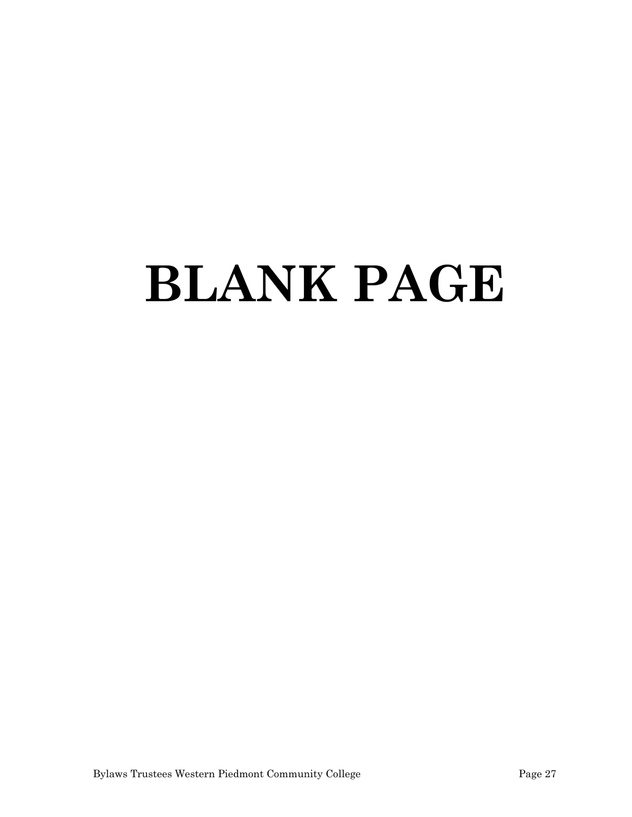# **BLANK PAGE**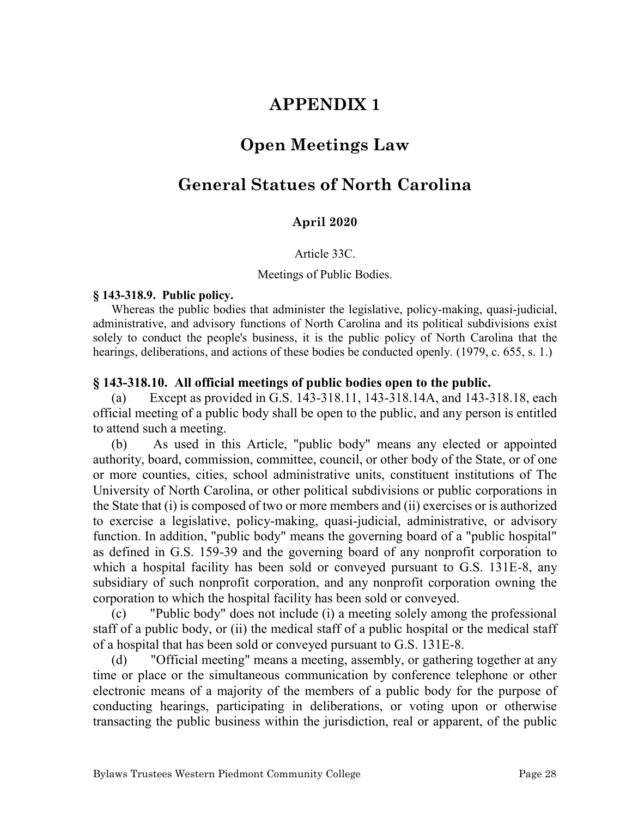## **APPENDIX 1**

# **Open Meetings Law**

# **General Statues of North Carolina**

#### **April 2020**

#### Article 33C.

#### Meetings of Public Bodies.

#### **§ 143-318.9. Public policy.**

Whereas the public bodies that administer the legislative, policy-making, quasi-judicial, administrative, and advisory functions of North Carolina and its political subdivisions exist solely to conduct the people's business, it is the public policy of North Carolina that the hearings, deliberations, and actions of these bodies be conducted openly. (1979, c. 655, s. 1.)

#### **§ 143-318.10. All official meetings of public bodies open to the public.**

(a) Except as provided in G.S. 143-318.11, 143-318.14A, and 143-318.18, each official meeting of a public body shall be open to the public, and any person is entitled to attend such a meeting.

(b) As used in this Article, "public body" means any elected or appointed authority, board, commission, committee, council, or other body of the State, or of one or more counties, cities, school administrative units, constituent institutions of The University of North Carolina, or other political subdivisions or public corporations in the State that (i) is composed of two or more members and (ii) exercises or is authorized to exercise a legislative, policy-making, quasi-judicial, administrative, or advisory function. In addition, "public body" means the governing board of a "public hospital" as defined in G.S. 159-39 and the governing board of any nonprofit corporation to which a hospital facility has been sold or conveyed pursuant to G.S. 131E-8, any subsidiary of such nonprofit corporation, and any nonprofit corporation owning the corporation to which the hospital facility has been sold or conveyed.

(c) "Public body" does not include (i) a meeting solely among the professional staff of a public body, or (ii) the medical staff of a public hospital or the medical staff of a hospital that has been sold or conveyed pursuant to G.S. 131E-8.

(d) "Official meeting" means a meeting, assembly, or gathering together at any time or place or the simultaneous communication by conference telephone or other electronic means of a majority of the members of a public body for the purpose of conducting hearings, participating in deliberations, or voting upon or otherwise transacting the public business within the jurisdiction, real or apparent, of the public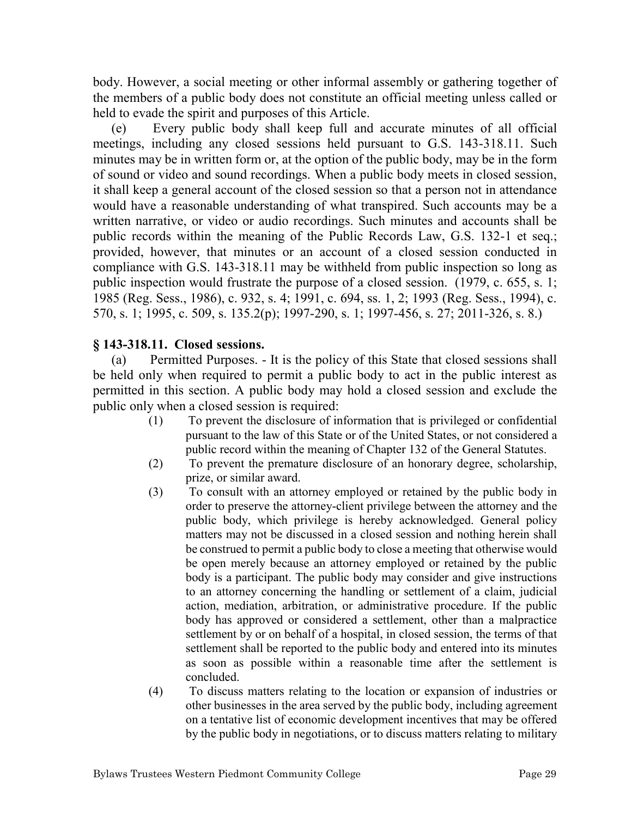body. However, a social meeting or other informal assembly or gathering together of the members of a public body does not constitute an official meeting unless called or held to evade the spirit and purposes of this Article.

(e) Every public body shall keep full and accurate minutes of all official meetings, including any closed sessions held pursuant to G.S. 143-318.11. Such minutes may be in written form or, at the option of the public body, may be in the form of sound or video and sound recordings. When a public body meets in closed session, it shall keep a general account of the closed session so that a person not in attendance would have a reasonable understanding of what transpired. Such accounts may be a written narrative, or video or audio recordings. Such minutes and accounts shall be public records within the meaning of the Public Records Law, G.S. 132-1 et seq.; provided, however, that minutes or an account of a closed session conducted in compliance with G.S. 143-318.11 may be withheld from public inspection so long as public inspection would frustrate the purpose of a closed session. (1979, c. 655, s. 1; 1985 (Reg. Sess., 1986), c. 932, s. 4; 1991, c. 694, ss. 1, 2; 1993 (Reg. Sess., 1994), c. 570, s. 1; 1995, c. 509, s. 135.2(p); 1997-290, s. 1; 1997-456, s. 27; 2011-326, s. 8.)

#### **§ 143-318.11. Closed sessions.**

(a) Permitted Purposes. - It is the policy of this State that closed sessions shall be held only when required to permit a public body to act in the public interest as permitted in this section. A public body may hold a closed session and exclude the public only when a closed session is required:

- (1) To prevent the disclosure of information that is privileged or confidential pursuant to the law of this State or of the United States, or not considered a public record within the meaning of Chapter 132 of the General Statutes.
- (2) To prevent the premature disclosure of an honorary degree, scholarship, prize, or similar award.
- (3) To consult with an attorney employed or retained by the public body in order to preserve the attorney-client privilege between the attorney and the public body, which privilege is hereby acknowledged. General policy matters may not be discussed in a closed session and nothing herein shall be construed to permit a public body to close a meeting that otherwise would be open merely because an attorney employed or retained by the public body is a participant. The public body may consider and give instructions to an attorney concerning the handling or settlement of a claim, judicial action, mediation, arbitration, or administrative procedure. If the public body has approved or considered a settlement, other than a malpractice settlement by or on behalf of a hospital, in closed session, the terms of that settlement shall be reported to the public body and entered into its minutes as soon as possible within a reasonable time after the settlement is concluded.
- (4) To discuss matters relating to the location or expansion of industries or other businesses in the area served by the public body, including agreement on a tentative list of economic development incentives that may be offered by the public body in negotiations, or to discuss matters relating to military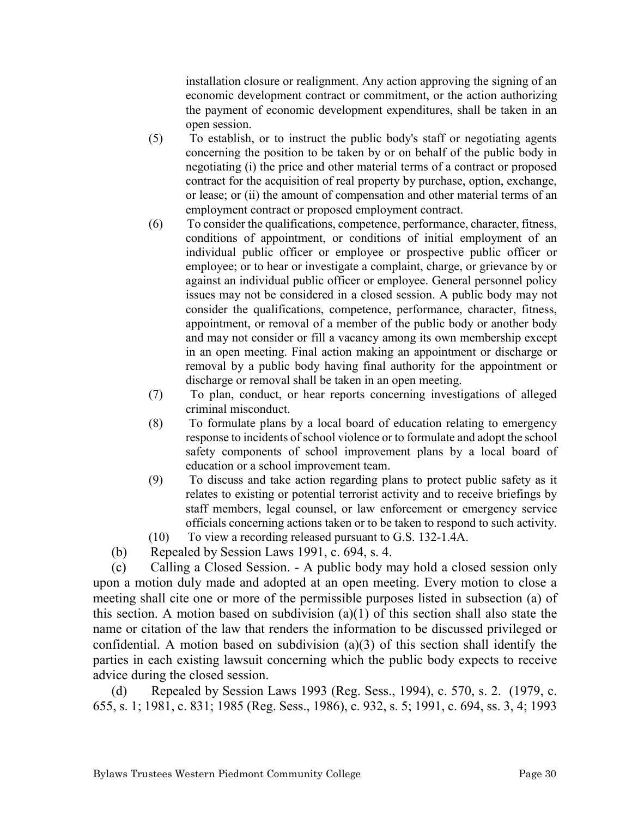installation closure or realignment. Any action approving the signing of an economic development contract or commitment, or the action authorizing the payment of economic development expenditures, shall be taken in an open session.

- (5) To establish, or to instruct the public body's staff or negotiating agents concerning the position to be taken by or on behalf of the public body in negotiating (i) the price and other material terms of a contract or proposed contract for the acquisition of real property by purchase, option, exchange, or lease; or (ii) the amount of compensation and other material terms of an employment contract or proposed employment contract.
- (6) To consider the qualifications, competence, performance, character, fitness, conditions of appointment, or conditions of initial employment of an individual public officer or employee or prospective public officer or employee; or to hear or investigate a complaint, charge, or grievance by or against an individual public officer or employee. General personnel policy issues may not be considered in a closed session. A public body may not consider the qualifications, competence, performance, character, fitness, appointment, or removal of a member of the public body or another body and may not consider or fill a vacancy among its own membership except in an open meeting. Final action making an appointment or discharge or removal by a public body having final authority for the appointment or discharge or removal shall be taken in an open meeting.
- (7) To plan, conduct, or hear reports concerning investigations of alleged criminal misconduct.
- (8) To formulate plans by a local board of education relating to emergency response to incidents of school violence or to formulate and adopt the school safety components of school improvement plans by a local board of education or a school improvement team.
- (9) To discuss and take action regarding plans to protect public safety as it relates to existing or potential terrorist activity and to receive briefings by staff members, legal counsel, or law enforcement or emergency service officials concerning actions taken or to be taken to respond to such activity.
- (10) To view a recording released pursuant to G.S. 132-1.4A.
- (b) Repealed by Session Laws 1991, c. 694, s. 4.

(c) Calling a Closed Session. - A public body may hold a closed session only upon a motion duly made and adopted at an open meeting. Every motion to close a meeting shall cite one or more of the permissible purposes listed in subsection (a) of this section. A motion based on subdivision (a)(1) of this section shall also state the name or citation of the law that renders the information to be discussed privileged or confidential. A motion based on subdivision (a)(3) of this section shall identify the parties in each existing lawsuit concerning which the public body expects to receive advice during the closed session.

(d) Repealed by Session Laws 1993 (Reg. Sess., 1994), c. 570, s. 2. (1979, c. 655, s. 1; 1981, c. 831; 1985 (Reg. Sess., 1986), c. 932, s. 5; 1991, c. 694, ss. 3, 4; 1993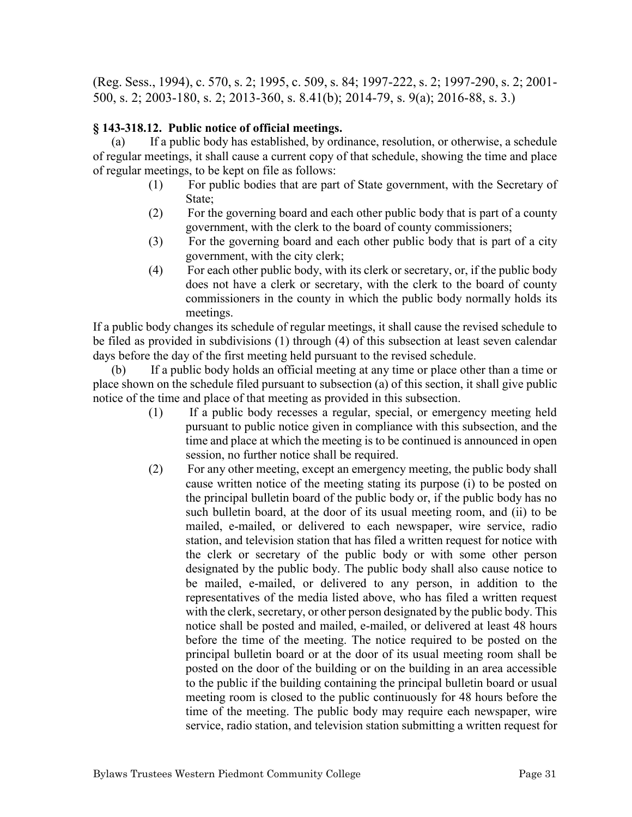(Reg. Sess., 1994), c. 570, s. 2; 1995, c. 509, s. 84; 1997-222, s. 2; 1997-290, s. 2; 2001- 500, s. 2; 2003-180, s. 2; 2013-360, s. 8.41(b); 2014-79, s. 9(a); 2016-88, s. 3.)

#### **§ 143-318.12. Public notice of official meetings.**

(a) If a public body has established, by ordinance, resolution, or otherwise, a schedule of regular meetings, it shall cause a current copy of that schedule, showing the time and place of regular meetings, to be kept on file as follows:

- (1) For public bodies that are part of State government, with the Secretary of State;
- (2) For the governing board and each other public body that is part of a county government, with the clerk to the board of county commissioners;
- (3) For the governing board and each other public body that is part of a city government, with the city clerk;
- (4) For each other public body, with its clerk or secretary, or, if the public body does not have a clerk or secretary, with the clerk to the board of county commissioners in the county in which the public body normally holds its meetings.

If a public body changes its schedule of regular meetings, it shall cause the revised schedule to be filed as provided in subdivisions (1) through (4) of this subsection at least seven calendar days before the day of the first meeting held pursuant to the revised schedule.

(b) If a public body holds an official meeting at any time or place other than a time or place shown on the schedule filed pursuant to subsection (a) of this section, it shall give public notice of the time and place of that meeting as provided in this subsection.

- (1) If a public body recesses a regular, special, or emergency meeting held pursuant to public notice given in compliance with this subsection, and the time and place at which the meeting is to be continued is announced in open session, no further notice shall be required.
- (2) For any other meeting, except an emergency meeting, the public body shall cause written notice of the meeting stating its purpose (i) to be posted on the principal bulletin board of the public body or, if the public body has no such bulletin board, at the door of its usual meeting room, and (ii) to be mailed, e-mailed, or delivered to each newspaper, wire service, radio station, and television station that has filed a written request for notice with the clerk or secretary of the public body or with some other person designated by the public body. The public body shall also cause notice to be mailed, e-mailed, or delivered to any person, in addition to the representatives of the media listed above, who has filed a written request with the clerk, secretary, or other person designated by the public body. This notice shall be posted and mailed, e-mailed, or delivered at least 48 hours before the time of the meeting. The notice required to be posted on the principal bulletin board or at the door of its usual meeting room shall be posted on the door of the building or on the building in an area accessible to the public if the building containing the principal bulletin board or usual meeting room is closed to the public continuously for 48 hours before the time of the meeting. The public body may require each newspaper, wire service, radio station, and television station submitting a written request for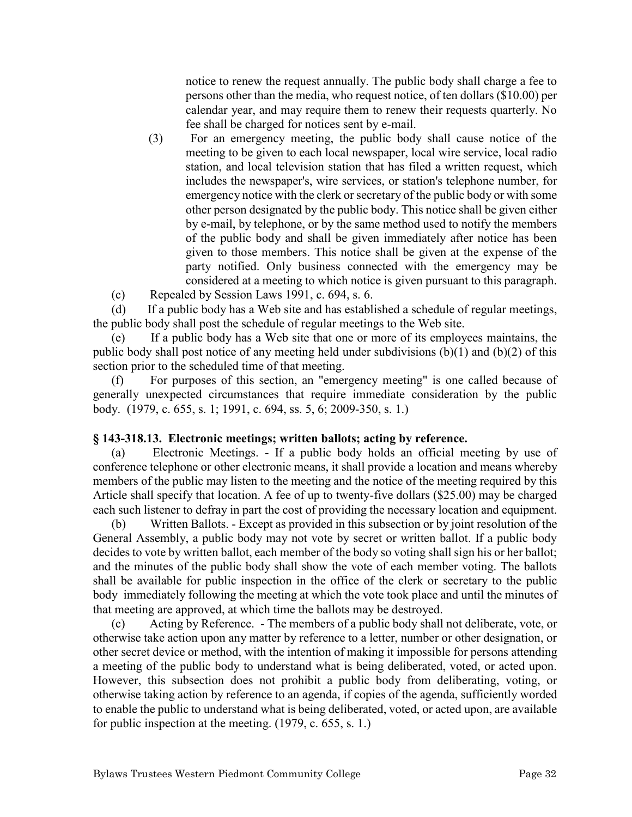notice to renew the request annually. The public body shall charge a fee to persons other than the media, who request notice, of ten dollars (\$10.00) per calendar year, and may require them to renew their requests quarterly. No fee shall be charged for notices sent by e-mail.

- (3) For an emergency meeting, the public body shall cause notice of the meeting to be given to each local newspaper, local wire service, local radio station, and local television station that has filed a written request, which includes the newspaper's, wire services, or station's telephone number, for emergency notice with the clerk or secretary of the public body or with some other person designated by the public body. This notice shall be given either by e-mail, by telephone, or by the same method used to notify the members of the public body and shall be given immediately after notice has been given to those members. This notice shall be given at the expense of the party notified. Only business connected with the emergency may be considered at a meeting to which notice is given pursuant to this paragraph.
- (c) Repealed by Session Laws 1991, c. 694, s. 6.

(d) If a public body has a Web site and has established a schedule of regular meetings, the public body shall post the schedule of regular meetings to the Web site.

(e) If a public body has a Web site that one or more of its employees maintains, the public body shall post notice of any meeting held under subdivisions (b)(1) and (b)(2) of this section prior to the scheduled time of that meeting.

(f) For purposes of this section, an "emergency meeting" is one called because of generally unexpected circumstances that require immediate consideration by the public body. (1979, c. 655, s. 1; 1991, c. 694, ss. 5, 6; 2009-350, s. 1.)

#### **§ 143-318.13. Electronic meetings; written ballots; acting by reference.**

(a) Electronic Meetings. - If a public body holds an official meeting by use of conference telephone or other electronic means, it shall provide a location and means whereby members of the public may listen to the meeting and the notice of the meeting required by this Article shall specify that location. A fee of up to twenty-five dollars (\$25.00) may be charged each such listener to defray in part the cost of providing the necessary location and equipment.

(b) Written Ballots. - Except as provided in this subsection or by joint resolution of the General Assembly, a public body may not vote by secret or written ballot. If a public body decides to vote by written ballot, each member of the body so voting shall sign his or her ballot; and the minutes of the public body shall show the vote of each member voting. The ballots shall be available for public inspection in the office of the clerk or secretary to the public body immediately following the meeting at which the vote took place and until the minutes of that meeting are approved, at which time the ballots may be destroyed.

(c) Acting by Reference. - The members of a public body shall not deliberate, vote, or otherwise take action upon any matter by reference to a letter, number or other designation, or other secret device or method, with the intention of making it impossible for persons attending a meeting of the public body to understand what is being deliberated, voted, or acted upon. However, this subsection does not prohibit a public body from deliberating, voting, or otherwise taking action by reference to an agenda, if copies of the agenda, sufficiently worded to enable the public to understand what is being deliberated, voted, or acted upon, are available for public inspection at the meeting. (1979, c. 655, s. 1.)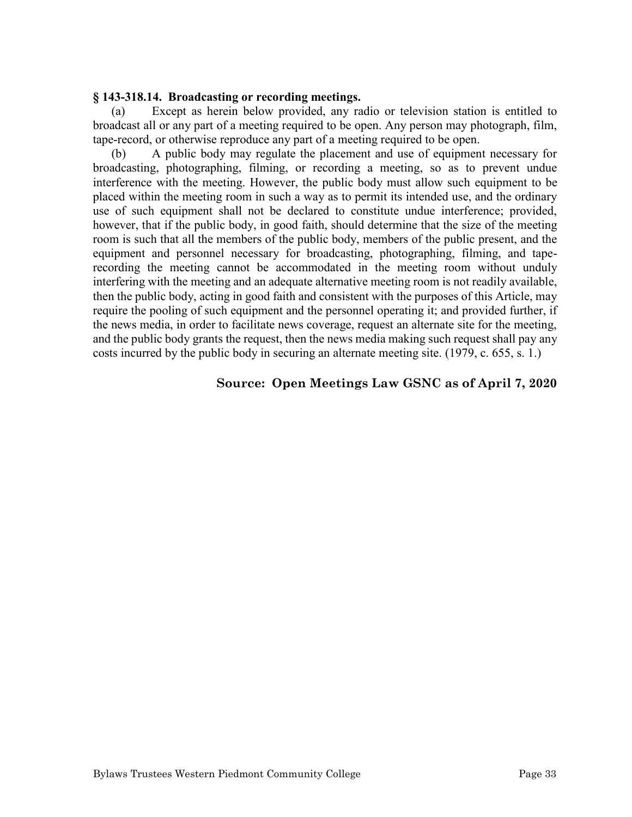#### **§ 143-318.14. Broadcasting or recording meetings.**

(a) Except as herein below provided, any radio or television station is entitled to broadcast all or any part of a meeting required to be open. Any person may photograph, film, tape-record, or otherwise reproduce any part of a meeting required to be open.

(b) A public body may regulate the placement and use of equipment necessary for broadcasting, photographing, filming, or recording a meeting, so as to prevent undue interference with the meeting. However, the public body must allow such equipment to be placed within the meeting room in such a way as to permit its intended use, and the ordinary use of such equipment shall not be declared to constitute undue interference; provided, however, that if the public body, in good faith, should determine that the size of the meeting room is such that all the members of the public body, members of the public present, and the equipment and personnel necessary for broadcasting, photographing, filming, and taperecording the meeting cannot be accommodated in the meeting room without unduly interfering with the meeting and an adequate alternative meeting room is not readily available, then the public body, acting in good faith and consistent with the purposes of this Article, may require the pooling of such equipment and the personnel operating it; and provided further, if the news media, in order to facilitate news coverage, request an alternate site for the meeting, and the public body grants the request, then the news media making such request shall pay any costs incurred by the public body in securing an alternate meeting site. (1979, c. 655, s. 1.)

#### **Source: Open Meetings Law GSNC as of April 7, 2020**